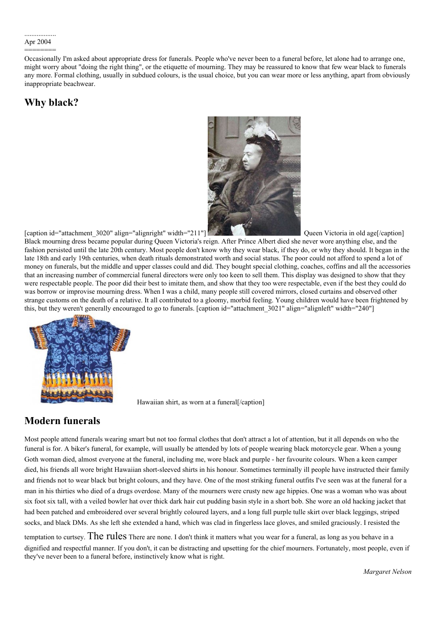Occasionally I'm asked about appropriate dress for funerals. People who've never been to a funeral before, let alone had to arrange one, might worry about "doing the right thing", or the etiquette of mourning. They may be reassured to know that few wear black to funerals any more. Formal clothing, usually in subdued colours, is the usual choice, but you can wear more or less anything, apart from obviously inappropriate beachwear.

## **Why black?**



[caption id="attachment\_3020" align="alignright" width="211"[\]](http://suffolkhands.org.uk/wp-content/uploads/2004/04/Queen-Victoria.jpg) Queen Victoria in old age[/caption]

Black mourning dress became popular during Queen Victoria's reign. After Prince Albert died she never wore anything else, and the fashion persisted until the late 20th century. Most people don't know why they wear black, if they do, or why they should. It began in the late 18th and early 19th centuries, when death rituals demonstrated worth and social status. The poor could not afford to spend a lot of money on funerals, but the middle and upper classes could and did. They bought special clothing, coaches, coffins and all the accessories that an increasing number of commercial funeral directors were only too keen to sell them. This display was designed to show that they were respectable people. The poor did their best to imitate them, and show that they too were respectable, even if the best they could do was borrow or improvise mourning dress. When I was a child, many people still covered mirrors, closed curtains and observed other strange customs on the death of a relative. It all contributed to a gloomy, morbid feeling. Young children would have been frightened by this, but they weren't generally encouraged to go to funerals. [caption id="attachment 3021" align="alignleft" width="240"]



Hawaiian shirt, as worn at a funeral[/caption]

# **Modern funerals**

Most people attend funerals wearing smart but not too formal clothes that don't attract a lot of attention, but it all depends on who the funeral is for. A biker's funeral, for example, will usually be attended by lots of people wearing black motorcycle gear. When a young Goth woman died, almost everyone at the funeral, including me, wore black and purple - her favourite colours. When a keen camper died, his friends all wore bright Hawaiian short-sleeved shirts in his honour. Sometimes terminally ill people have instructed their family and friends not to wear black but bright colours, and they have. One of the most striking funeral outfits I've seen was at the funeral for a man in his thirties who died of a drugs overdose. Many of the mourners were crusty new age hippies. One was a woman who was about six foot six tall, with a veiled bowler hat over thick dark hair cut pudding basin style in a short bob. She wore an old hacking jacket that had been patched and embroidered over several brightly coloured layers, and a long full purple tulle skirt over black leggings, striped socks, and black DMs. As she left she extended a hand, which was clad in fingerless lace gloves, and smiled graciously. I resisted the

temptation to curtsey. The rules There are none. I don't think it matters what you wear for a funeral, as long as you behave in a dignified and respectful manner. If you don't, it can be distracting and upsetting for the chief mourners. Fortunately, most people, even if they've never been to a funeral before, instinctively know what is right.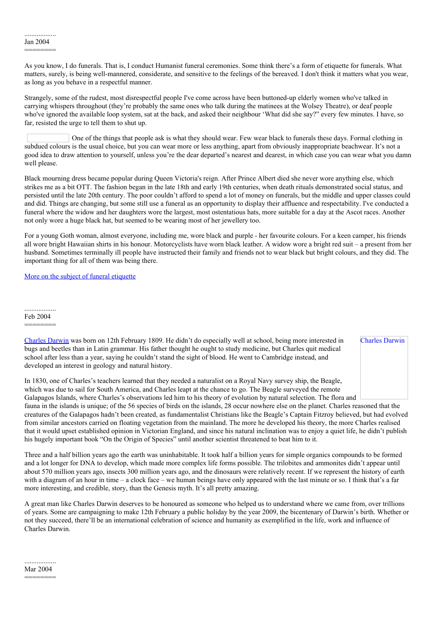As you know, I do funerals. That is, I conduct Humanist funeral ceremonies. Some think there's a form of etiquette for funerals. What matters, surely, is being well-mannered, considerate, and sensitive to the feelings of the bereaved. I don't think it matters what you wear, as long as you behave in a respectful manner.

Strangely, some of the rudest, most disrespectful people I've come across have been buttoned-up elderly women who've talked in carrying whispers throughout (they're probably the same ones who talk during the matinees at the Wolsey Theatre), or deaf people who've ignored the available loop system, sat at the back, and asked their neighbour 'What did she say?" every few minutes. I have, so far, resisted the urge to tell them to shut up.

One of the things that people ask is what they should wear. Few wear black to funerals these days. Formal clothing in subdued colours is the usual choice, but you can wear more or less anything, apart from obviously inappropriate beachwear. It's not a good idea to draw attention to yourself, unless you're the dear departed's nearest and dearest, in which case you can wear what you damn well please.

Black mourning dress became popular during Queen Victoria's reign. After Prince Albert died she never wore anything else, which strikes me as a bit OTT. The fashion began in the late 18th and early 19th centuries, when death rituals demonstrated social status, and persisted until the late 20th century. The poor couldn't afford to spend a lot of money on funerals, but the middle and upper classes could and did. Things are changing, but some still use a funeral as an opportunity to display their affluence and respectability. I've conducted a funeral where the widow and her daughters wore the largest, most ostentatious hats, more suitable for a day at the Ascot races. Another not only wore a huge black hat, but seemed to be wearing most of her jewellery too.

For a young Goth woman, almost everyone, including me, wore black and purple - her favourite colours. For a keen camper, his friends all wore bright Hawaiian shirts in his honour. Motorcyclists have worn black leather. A widow wore a bright red suit – a present from her husband. Sometimes terminally ill people have instructed their family and friends not to wear black but bright colours, and they did. The important thing for all of them was being there.

More on the subject of funeral [etiquette](https://html2pdf.com/files/9thwk9e7eslkvnae/o_1dro3da471pin1r3k1gbm1kov1023g/node/106)

.................. Feb 2004

========

[Charles](http://en.wikipedia.org/wiki/Charles_Darwin) Darwin was born on 12th February 1809. He didn't do especially well at school, being more interested in bugs and beetles than in Latin grammar. His father thought he ought to study medicine, but Charles quit medical school after less than a year, saying he couldn't stand the sight of blood. He went to Cambridge instead, and developed an interest in geology and natural history.

Charles Darwin

In 1830, one of Charles's teachers learned that they needed a naturalist on a Royal Navy survey ship, the Beagle, which was due to sail for South America, and Charles leapt at the chance to go. The Beagle surveyed the remote Galapagos Islands, where Charles's observations led him to his theory of evolution by natural selection. The flora and

fauna in the islands is unique; of the 56 species of birds on the islands, 28 occur nowhere else on the planet. Charles reasoned that the creatures of the Galapagos hadn't been created, as fundamentalist Christians like the Beagle's Captain Fitzroy believed, but had evolved from similar ancestors carried on floating vegetation from the mainland. The more he developed his theory, the more Charles realised that it would upset established opinion in Victorian England, and since his natural inclination was to enjoy a quiet life, he didn't publish his hugely important book "On the Origin of Species" until another scientist threatened to beat him to it.

Three and a half billion years ago the earth was uninhabitable. It took half a billion years for simple organics compounds to be formed and a lot longer for DNA to develop, which made more complex life forms possible. The trilobites and ammonites didn't appear until about 570 million years ago, insects 300 million years ago, and the dinosaurs were relatively recent. If we represent the history of earth with a diagram of an hour in time – a clock face – we human beings have only appeared with the last minute or so. I think that's a far more interesting, and credible, story, than the Genesis myth. It's all pretty amazing.

A great man like Charles Darwin deserves to be honoured as someone who helped us to understand where we came from, over trillions of years. Some are campaigning to make 12th February a public holiday by the year 2009, the bicentenary of Darwin's birth. Whether or not they succeed, there'll be an international celebration of science and humanity as exemplified in the life, work and influence of Charles Darwin.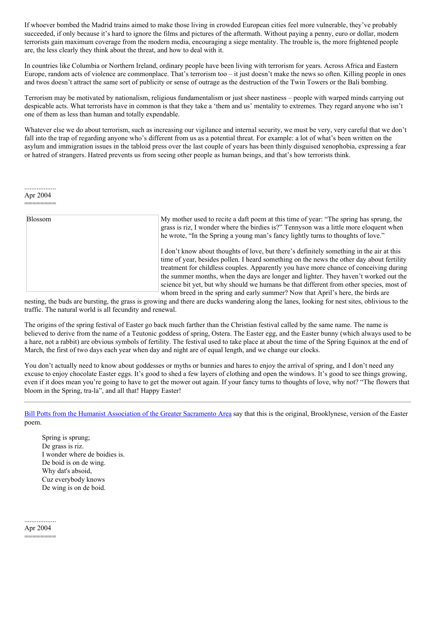If whoever bombed the Madrid trains aimed to make those living in crowded European cities feel more vulnerable, they've probably succeeded, if only because it's hard to ignore the films and pictures of the aftermath. Without paying a penny, euro or dollar, modern terrorists gain maximum coverage from the modern media, encouraging a siege mentality. The trouble is, the more frightened people are, the less clearly they think about the threat, and how to deal with it.

In countries like Columbia or Northern Ireland, ordinary people have been living with terrorism for years. Across Africa and Eastern Europe, random acts of violence are commonplace. That's terrorism too – it just doesn't make the news so often. Killing people in ones and twos doesn't attract the same sort of publicity or sense of outrage as the destruction of the Twin Towers or the Bali bombing.

Terrorism may be motivated by nationalism, religious fundamentalism or just sheer nastiness – people with warped minds carrying out despicable acts. What terrorists have in common is that they take a 'them and us' mentality to extremes. They regard anyone who isn't one of them as less than human and totally expendable.

Whatever else we do about terrorism, such as increasing our vigilance and internal security, we must be very, very careful that we don't fall into the trap of regarding anyone who's different from us as a potential threat. For example: a lot of what's been written on the asylum and immigration issues in the tabloid press over the last couple of years has been thinly disguised xenophobia, expressing a fear or hatred of strangers. Hatred prevents us from seeing other people as human beings, and that's how terrorists think.

.................. Apr 2004 ========

| <b>Blossom</b> | My mother used to recite a daft poem at this time of year: "The spring has sprung, the<br>grass is riz, I wonder where the birdies is?" Tennyson was a little more eloquent when<br>he wrote, "In the Spring a young man's fancy lightly turns to thoughts of love."                                                                                                                                                                                                                                                                                 |
|----------------|------------------------------------------------------------------------------------------------------------------------------------------------------------------------------------------------------------------------------------------------------------------------------------------------------------------------------------------------------------------------------------------------------------------------------------------------------------------------------------------------------------------------------------------------------|
|                | I don't know about thoughts of love, but there's definitely something in the air at this<br>time of year, besides pollen. I heard something on the news the other day about fertility<br>treatment for childless couples. Apparently you have more chance of conceiving during<br>the summer months, when the days are longer and lighter. They haven't worked out the<br>science bit yet, but why should we humans be that different from other species, most of<br>whom breed in the spring and early summer? Now that April's here, the birds are |

nesting, the buds are bursting, the grass is growing and there are ducks wandering along the lanes, looking for nest sites, oblivious to the traffic. The natural world is all fecundity and renewal.

The origins of the spring festival of Easter go back much farther than the Christian festival called by the same name. The name is believed to derive from the name of a Teutonic goddess of spring, Ostera. The Easter egg, and the Easter bunny (which always used to be a hare, not a rabbit) are obvious symbols of fertility. The festival used to take place at about the time of the Spring Equinox at the end of March, the first of two days each year when day and night are of equal length, and we change our clocks.

You don't actually need to know about goddesses or myths or bunnies and hares to enjoy the arrival of spring, and I don't need any excuse to enjoy chocolate Easter eggs. It's good to shed a few layers of clothing and open the windows. It's good to see things growing, even if it does mean you're going to have to get the mower out again. If your fancy turns to thoughts of love, why not? "The flowers that bloom in the Spring, tra-la", and all that! Happy Easter!

Bill Potts from the Humanist [Association](https://html2pdf.com/files/9thwk9e7eslkvnae/o_1dro3da471pin1r3k1gbm1kov1023g/node/160) of the Greater Sacramento Area say that this is the original, Brooklynese, version of the Easter poem.

Spring is sprung; De grass is riz. I wonder where de boidies is. De boid is on de wing. Why dat's absoid, Cuz everybody knows De wing is on de boid.

.................. Apr 2004

========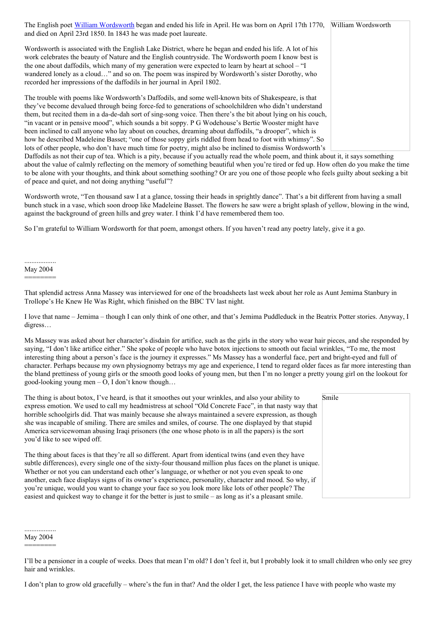The English poet William [Wordsworth](http://en.wikipedia.org/wiki/William_Wordsworth) began and ended his life in April. He was born on April 17th 1770, William Wordsworth and died on April 23rd 1850. In 1843 he was made poet laureate. Wordsworth is associated with the English Lake District, where he began and ended his life. A lot of his work celebrates the beauty of Nature and the English countryside. The Wordsworth poem I know best is the one about daffodils, which many of my generation were expected to learn by heart at school – "I wandered lonely as a cloud…" and so on. The poem was inspired by Wordsworth's sister Dorothy, who recorded her impressions of the daffodils in her journal in April 1802. The trouble with poems like Wordsworth's Daffodils, and some well-known bits of Shakespeare, is that they've become devalued through being force-fed to generations of schoolchildren who didn't understand them, but recited them in a da-de-dah sort of sing-song voice. Then there's the bit about lying on his couch, "in vacant or in pensive mood", which sounds a bit soppy. P G Wodehouse's Bertie Wooster might have been inclined to call anyone who lay about on couches, dreaming about daffodils, "a drooper", which is how he described Madeleine Basset; "one of those soppy girls riddled from head to foot with whimsy". So lots of other people, who don't have much time for poetry, might also be inclined to dismiss Wordsworth's

Daffodils as not their cup of tea. Which is a pity, because if you actually read the whole poem, and think about it, it says something about the value of calmly reflecting on the memory of something beautiful when you're tired or fed up. How often do you make the time to be alone with your thoughts, and think about something soothing? Or are you one of those people who feels guilty about seeking a bit of peace and quiet, and not doing anything "useful"?

Wordsworth wrote, "Ten thousand saw I at a glance, tossing their heads in sprightly dance". That's a bit different from having a small bunch stuck in a vase, which soon droop like Madeleine Basset. The flowers he saw were a bright splash of yellow, blowing in the wind, against the background of green hills and grey water. I think I'd have remembered them too.

So I'm grateful to William Wordsworth for that poem, amongst others. If you haven't read any poetry lately, give it a go.

### .................. May 2004 ========

That splendid actress Anna Massey was interviewed for one of the broadsheets last week about her role as Aunt Jemima Stanbury in Trollope's He Knew He Was Right, which finished on the BBC TV last night.

I love that name – Jemima – though I can only think of one other, and that's Jemima Puddleduck in the Beatrix Potter stories. Anyway, I digress…

Ms Massey was asked about her character's disdain for artifice, such as the girls in the story who wear hair pieces, and she responded by saying, "I don't like artifice either." She spoke of people who have botox injections to smooth out facial wrinkles, "To me, the most interesting thing about a person's face is the journey it expresses." Ms Massey has a wonderful face, pert and bright-eyed and full of character. Perhaps because my own physiognomy betrays my age and experience, I tend to regard older faces as far more interesting than the bland prettiness of young girls or the smooth good looks of young men, but then I'm no longer a pretty young girl on the lookout for good-looking young men – O, I don't know though...

The thing is about botox, I've heard, is that it smoothes out your wrinkles, and also your ability to express emotion. We used to call my headmistress at school "Old Concrete Face", in that nasty way that horrible schoolgirls did. That was mainly because she always maintained a severe expression, as though she was incapable of smiling. There are smiles and smiles, of course. The one displayed by that stupid America servicewoman abusing Iraqi prisoners (the one whose photo is in all the papers) is the sort you'd like to see wiped off.

The thing about faces is that they're all so different. Apart from identical twins (and even they have subtle differences), every single one of the sixty-four thousand million plus faces on the planet is unique. Whether or not you can understand each other's language, or whether or not you even speak to one another, each face displays signs of its owner's experience, personality, character and mood. So why, if you're unique, would you want to change your face so you look more like lots of other people? The easiest and quickest way to change it for the better is just to smile – as long as it's a pleasant smile.

.................. May 2004

========

I'll be a pensioner in a couple of weeks. Does that mean I'm old? I don't feel it, but I probably look it to small children who only see grey hair and wrinkles.

I don't plan to grow old gracefully – where's the fun in that? And the older I get, the less patience I have with people who waste my

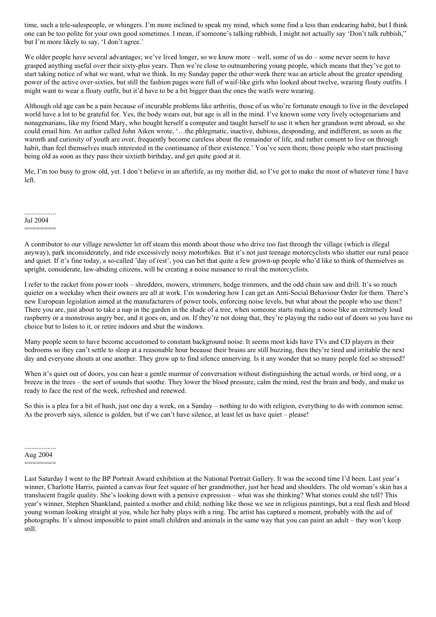time, such a tele-salespeople, or whingers. I'm more inclined to speak my mind, which some find a less than endearing habit, but I think one can be too polite for your own good sometimes. I mean, if someone's talking rubbish, I might not actually say 'Don't talk rubbish," but I'm more likely to say, 'I don't agree.'

We older people have several advantages; we've lived longer, so we know more – well, some of us do – some never seem to have grasped anything useful over their sixty-plus years. Then we're close to outnumbering young people, which means that they've got to start taking notice of what we want, what we think. In my Sunday paper the other week there was an article about the greater spending power of the active over-sixties, but still the fashion pages were full of waif-like girls who looked about twelve, wearing floaty outfits. I might want to wear a floaty outfit, but it'd have to be a bit bigger than the ones the waifs were wearing.

Although old age can be a pain because of incurable problems like arthritis, those of us who're fortunate enough to live in the developed world have a lot to be grateful for. Yes, the body wears out, but age is all in the mind. I've known some very lively octogenarians and nonagenarians, like my friend Mary, who bought herself a computer and taught herself to use it when her grandson went abroad, so she could email him. An author called John Aiken wrote, '…the phlegmatic, inactive, dubious, desponding, and indifferent, as soon as the warmth and curiosity of youth are over, frequently become careless about the remainder of life, and rather consent to live on through habit, than feel themselves much interested in the continuance of their existence.' You've seen them; those people who start practising being old as soon as they pass their sixtieth birthday, and get quite good at it.

Me, I'm too busy to grow old, yet. I don't believe in an afterlife, as my mother did, so I've got to make the most of whatever time I have left.

.................. Jul 2004

========

A contributor to our village newsletter let off steam this month about those who drive too fast through the village (which is illegal anyway), park inconsiderately, and ride excessively noisy motorbikes. But it's not just teenage motorcyclists who shatter our rural peace and quiet. If it's fine today, a so-called 'day of rest', you can bet that quite a few grown-up people who'd like to think of themselves as upright, considerate, law-abiding citizens, will be creating a noise nuisance to rival the motorcyclists.

I refer to the racket from power tools – shredders, mowers, strimmers, hedge trimmers, and the odd chain saw and drill. It's so much quieter on a weekday when their owners are all at work. I'm wondering how I can get an Anti-Social Behaviour Order for them. There's new European legislation aimed at the manufacturers of power tools, enforcing noise levels, but what about the people who use them? There you are, just about to take a nap in the garden in the shade of a tree, when someone starts making a noise like an extremely loud raspberry or a monstrous angry bee, and it goes on, and on. If they're not doing that, they're playing the radio out of doors so you have no choice but to listen to it, or retire indoors and shut the windows.

Many people seem to have become accustomed to constant background noise. It seems most kids have TVs and CD players in their bedrooms so they can't settle to sleep at a reasonable hour because their brains are still buzzing, then they're tired and irritable the next day and everyone shouts at one another. They grow up to find silence unnerving. Is it any wonder that so many people feel so stressed?

When it's quiet out of doors, you can hear a gentle murmur of conversation without distinguishing the actual words, or bird song, or a breeze in the trees – the sort of sounds that soothe. They lower the blood pressure, calm the mind, rest the brain and body, and make us ready to face the rest of the week, refreshed and renewed.

So this is a plea for a bit of hush, just one day a week, on a Sunday – nothing to do with religion, everything to do with common sense. As the proverb says, silence is golden, but if we can't have silence, at least let us have quiet – please!

.................. Aug 2004 ========

Last Saturday I went to the BP Portrait Award exhibition at the National Portrait Gallery. It was the second time I'd been. Last year's winner, Charlotte Harris, painted a canvas four feet square of her grandmother, just her head and shoulders. The old woman's skin has a translucent fragile quality. She's looking down with a pensive expression – what was she thinking? What stories could she tell? This year's winner, Stephen Shankland, painted a mother and child; nothing like those we see in religious paintings, but a real flesh and blood young woman looking straight at you, while her baby plays with a ring. The artist has captured a moment, probably with the aid of photographs. It's almost impossible to paint small children and animals in the same way that you can paint an adult – they won't keep still.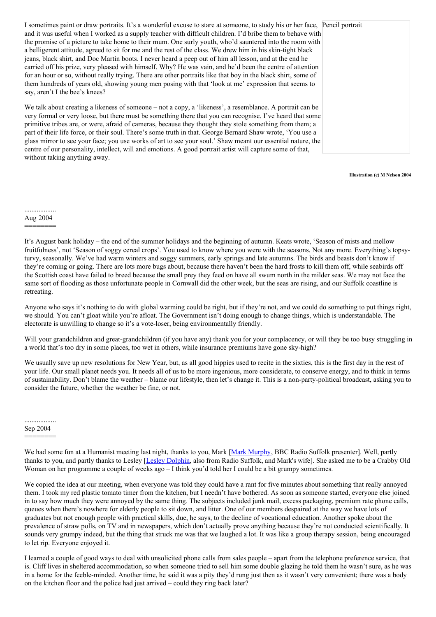I sometimes paint or draw portraits. It's a wonderful excuse to stare at someone, to study his or her face, Pencil portrait and it was useful when I worked as a supply teacher with difficult children. I'd bribe them to behave with the promise of a picture to take home to their mum. One surly youth, who'd sauntered into the room with a belligerent attitude, agreed to sit for me and the rest of the class. We drew him in his skin-tight black jeans, black shirt, and Doc Martin boots. I never heard a peep out of him all lesson, and at the end he carried off his prize, very pleased with himself. Why? He was vain, and he'd been the centre of attention for an hour or so, without really trying. There are other portraits like that boy in the black shirt, some of them hundreds of years old, showing young men posing with that 'look at me' expression that seems to say, aren't I the bee's knees?

We talk about creating a likeness of someone – not a copy, a 'likeness', a resemblance. A portrait can be very formal or very loose, but there must be something there that you can recognise. I've heard that some primitive tribes are, or were, afraid of cameras, because they thought they stole something from them; a part of their life force, or their soul. There's some truth in that. George Bernard Shaw wrote, 'You use a glass mirror to see your face; you use works of art to see your soul.' Shaw meant our essential nature, the centre of our personality, intellect, will and emotions. A good portrait artist will capture some of that, without taking anything away.

**Illustration (c) M Nelson 2004**

#### .................. Aug 2004

### ========

It's August bank holiday – the end of the summer holidays and the beginning of autumn. Keats wrote, 'Season of mists and mellow fruitfulness', not 'Season of soggy cereal crops'. You used to know where you were with the seasons. Not any more. Everything's topsyturvy, seasonally. We've had warm winters and soggy summers, early springs and late autumns. The birds and beasts don't know if they're coming or going. There are lots more bugs about, because there haven't been the hard frosts to kill them off, while seabirds off the Scottish coast have failed to breed because the small prey they feed on have all swum north in the milder seas. We may not face the same sort of flooding as those unfortunate people in Cornwall did the other week, but the seas are rising, and our Suffolk coastline is retreating.

Anyone who says it's nothing to do with global warming could be right, but if they're not, and we could do something to put things right, we should. You can't gloat while you're afloat. The Government isn't doing enough to change things, which is understandable. The electorate is unwilling to change so it's a vote-loser, being environmentally friendly.

Will your grandchildren and great-grandchildren (if you have any) thank you for your complacency, or will they be too busy struggling in a world that's too dry in some places, too wet in others, while insurance premiums have gone sky-high?

We usually save up new resolutions for New Year, but, as all good hippies used to recite in the sixties, this is the first day in the rest of your life. Our small planet needs you. It needs all of us to be more ingenious, more considerate, to conserve energy, and to think in terms of sustainability. Don't blame the weather – blame our lifestyle, then let's change it. This is a non-party-political broadcast, asking you to consider the future, whether the weather be fine, or not.

.................. Sep 2004 ========

We had some fun at a Humanist meeting last night, thanks to you, Mark [Mark [Murphy](http://www.bbc.co.uk/england/radiosuffolk/biog_murphy.shtml), BBC Radio Suffolk presenter]. Well, partly thanks to you, and partly thanks to Lesley [Lesley [Dolphin,](http://www.bbc.co.uk/england/radiosuffolk/biog_dolphin.shtml) also from Radio Suffolk, and Mark's wife]. She asked me to be a Crabby Old Woman on her programme a couple of weeks ago – I think you'd told her I could be a bit grumpy sometimes.

We copied the idea at our meeting, when everyone was told they could have a rant for five minutes about something that really annoyed them. I took my red plastic tomato timer from the kitchen, but I needn't have bothered. As soon as someone started, everyone else joined in to say how much they were annoyed by the same thing. The subjects included junk mail, excess packaging, premium rate phone calls, queues when there's nowhere for elderly people to sit down, and litter. One of our members despaired at the way we have lots of graduates but not enough people with practical skills, due, he says, to the decline of vocational education. Another spoke about the prevalence of straw polls, on TV and in newspapers, which don't actually prove anything because they're not conducted scientifically. It sounds very grumpy indeed, but the thing that struck me was that we laughed a lot. It was like a group therapy session, being encouraged to let rip. Everyone enjoyed it.

I learned a couple of good ways to deal with unsolicited phone calls from sales people – apart from the telephone preference service, that is. Cliff lives in sheltered accommodation, so when someone tried to sell him some double glazing he told them he wasn't sure, as he was in a home for the feeble-minded. Another time, he said it was a pity they'd rung just then as it wasn't very convenient; there was a body on the kitchen floor and the police had just arrived – could they ring back later?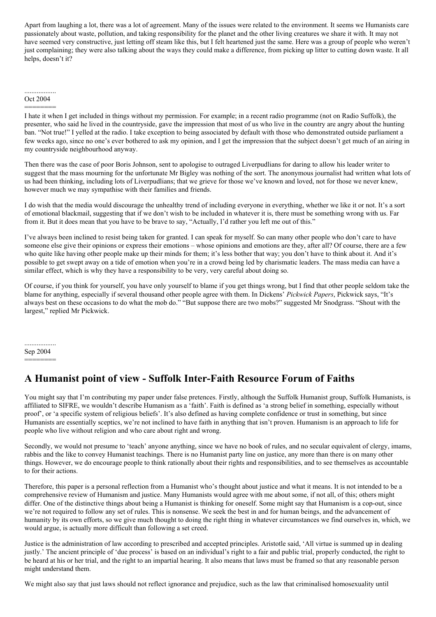Apart from laughing a lot, there was a lot of agreement. Many of the issues were related to the environment. It seems we Humanists care passionately about waste, pollution, and taking responsibility for the planet and the other living creatures we share it with. It may not have seemed very constructive, just letting off steam like this, but I felt heartened just the same. Here was a group of people who weren't just complaining; they were also talking about the ways they could make a difference, from picking up litter to cutting down waste. It all helps, doesn't it?

#### .................. Oct 2004

========

I hate it when I get included in things without my permission. For example; in a recent radio programme (not on Radio Suffolk), the presenter, who said he lived in the countryside, gave the impression that most of us who live in the country are angry about the hunting ban. "Not true!" I yelled at the radio. I take exception to being associated by default with those who demonstrated outside parliament a few weeks ago, since no one's ever bothered to ask my opinion, and I get the impression that the subject doesn't get much of an airing in my countryside neighbourhood anyway.

Then there was the case of poor Boris Johnson, sent to apologise to outraged Liverpudlians for daring to allow his leader writer to suggest that the mass mourning for the unfortunate Mr Bigley was nothing of the sort. The anonymous journalist had written what lots of us had been thinking, including lots of Liverpudlians; that we grieve for those we've known and loved, not for those we never knew, however much we may sympathise with their families and friends.

I do wish that the media would discourage the unhealthy trend of including everyone in everything, whether we like it or not. It's a sort of emotional blackmail, suggesting that if we don't wish to be included in whatever it is, there must be something wrong with us. Far from it. But it does mean that you have to be brave to say, "Actually, I'd rather you left me out of this."

I've always been inclined to resist being taken for granted. I can speak for myself. So can many other people who don't care to have someone else give their opinions or express their emotions – whose opinions and emotions are they, after all? Of course, there are a few who quite like having other people make up their minds for them; it's less bother that way; you don't have to think about it. And it's possible to get swept away on a tide of emotion when you're in a crowd being led by charismatic leaders. The mass media can have a similar effect, which is why they have a responsibility to be very, very careful about doing so.

Of course, if you think for yourself, you have only yourself to blame if you get things wrong, but I find that other people seldom take the blame for anything, especially if several thousand other people agree with them. In Dickens' *Pickwick Papers*, Pickwick says, "It's always best on these occasions to do what the mob do." "But suppose there are two mobs?" suggested Mr Snodgrass. "Shout with the largest," replied Mr Pickwick.

.................. Sep 2004

========

## **A Humanist point of view - Suffolk Inter-Faith Resource Forum of Faiths**

You might say that I'm contributing my paper under false pretences. Firstly, although the Suffolk Humanist group, Suffolk Humanists, is affiliated to SIFRE, we wouldn't describe Humanism as a 'faith'. Faith is defined as 'a strong belief in something, especially without proof', or 'a specific system of religious beliefs'. It's also defined as having complete confidence or trust in something, but since Humanists are essentially sceptics, we're not inclined to have faith in anything that isn't proven. Humanism is an approach to life for people who live without religion and who care about right and wrong.

Secondly, we would not presume to 'teach' anyone anything, since we have no book of rules, and no secular equivalent of clergy, imams, rabbis and the like to convey Humanist teachings. There is no Humanist party line on justice, any more than there is on many other things. However, we do encourage people to think rationally about their rights and responsibilities, and to see themselves as accountable to for their actions.

Therefore, this paper is a personal reflection from a Humanist who's thought about justice and what it means. It is not intended to be a comprehensive review of Humanism and justice. Many Humanists would agree with me about some, if not all, of this; others might differ. One of the distinctive things about being a Humanist is thinking for oneself. Some might say that Humanism is a cop-out, since we're not required to follow any set of rules. This is nonsense. We seek the best in and for human beings, and the advancement of humanity by its own efforts, so we give much thought to doing the right thing in whatever circumstances we find ourselves in, which, we would argue, is actually more difficult than following a set creed.

Justice is the administration of law according to prescribed and accepted principles. Aristotle said, 'All virtue is summed up in dealing justly.' The ancient principle of 'due process' is based on an individual's right to a fair and public trial, properly conducted, the right to be heard at his or her trial, and the right to an impartial hearing. It also means that laws must be framed so that any reasonable person might understand them.

We might also say that just laws should not reflect ignorance and prejudice, such as the law that criminalised homosexuality until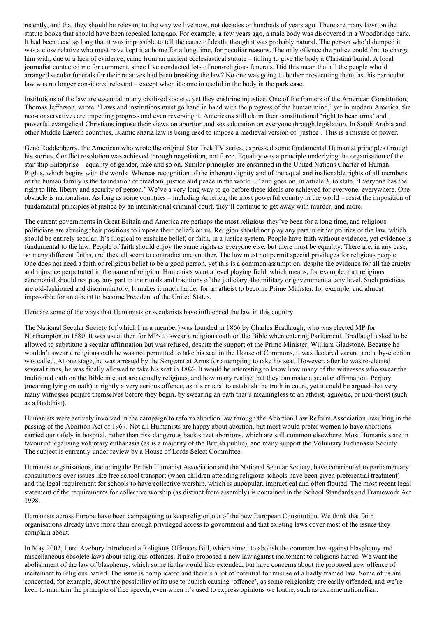recently, and that they should be relevant to the way we live now, not decades or hundreds of years ago. There are many laws on the statute books that should have been repealed long ago. For example; a few years ago, a male body was discovered in a Woodbridge park. It had been dead so long that it was impossible to tell the cause of death, though it was probably natural. The person who'd dumped it was a close relative who must have kept it at home for a long time, for peculiar reasons. The only offence the police could find to charge him with, due to a lack of evidence, came from an ancient ecclesiastical statute – failing to give the body a Christian burial. A local journalist contacted me for comment, since I've conducted lots of non-religious funerals. Did this mean that all the people who'd arranged secular funerals for their relatives had been breaking the law? No one was going to bother prosecuting them, as this particular law was no longer considered relevant – except when it came in useful in the body in the park case.

Institutions of the law are essential in any civilised society, yet they enshrine injustice. One of the framers of the American Constitution, Thomas Jefferson, wrote, 'Laws and institutions must go hand in hand with the progress of the human mind,' yet in modern America, the neo-conservatives are impeding progress and even reversing it. Americans still claim their constitutional 'right to bear arms' and powerful evangelical Christians impose their views on abortion and sex education on everyone through legislation. In Saudi Arabia and other Middle Eastern countries, Islamic sharia law is being used to impose a medieval version of 'justice'. This is a misuse of power.

Gene Roddenberry, the American who wrote the original Star Trek TV series, expressed some fundamental Humanist principles through his stories. Conflict resolution was achieved through negotiation, not force. Equality was a principle underlying the organisation of the star ship Enterprise – equality of gender, race and so on. Similar principles are enshrined in the United Nations Charter of Human Rights, which begins with the words 'Whereas recognition of the inherent dignity and of the equal and inalienable rights of all members of the human family is the foundation of freedom, justice and peace in the world…' and goes on, in article 3, to state, 'Everyone has the right to life, liberty and security of person.' We've a very long way to go before these ideals are achieved for everyone, everywhere. One obstacle is nationalism. As long as some countries – including America, the most powerful country in the world – resist the imposition of fundamental principles of justice by an international criminal court, they'll continue to get away with murder, and more.

The current governments in Great Britain and America are perhaps the most religious they've been for a long time, and religious politicians are abusing their positions to impose their beliefs on us. Religion should not play any part in either politics or the law, which should be entirely secular. It's illogical to enshrine belief, or faith, in a justice system. People have faith without evidence, yet evidence is fundamental to the law. People of faith should enjoy the same rights as everyone else, but there must be equality. There are, in any case, so many different faiths, and they all seem to contradict one another. The law must not permit special privileges for religious people. One does not need a faith or religious belief to be a good person, yet this is a common assumption, despite the evidence for all the cruelty and injustice perpetrated in the name of religion. Humanists want a level playing field, which means, for example, that religious ceremonial should not play any part in the rituals and traditions of the judiciary, the military or government at any level. Such practices are old-fashioned and discriminatory. It makes it much harder for an atheist to become Prime Minister, for example, and almost impossible for an atheist to become President of the United States.

Here are some of the ways that Humanists or secularists have influenced the law in this country.

The National Secular Society (of which I'm a member) was founded in 1866 by Charles Bradlaugh, who was elected MP for Northampton in 1880. It was usual then for MPs to swear a religious oath on the Bible when entering Parliament. Bradlaugh asked to be allowed to substitute a secular affirmation but was refused, despite the support of the Prime Minister, William Gladstone. Because he wouldn't swear a religious oath he was not permitted to take his seat in the House of Commons, it was declared vacant, and a by-election was called. At one stage, he was arrested by the Sergeant at Arms for attempting to take his seat. However, after he was re-elected several times, he was finally allowed to take his seat in 1886. It would be interesting to know how many of the witnesses who swear the traditional oath on the Bible in court are actually religious, and how many realise that they can make a secular affirmation. Perjury (meaning lying on oath) is rightly a very serious offence, as it's crucial to establish the truth in court, yet it could be argued that very many witnesses perjure themselves before they begin, by swearing an oath that's meaningless to an atheist, agnostic, or non-theist (such as a Buddhist).

Humanists were actively involved in the campaign to reform abortion law through the Abortion Law Reform Association, resulting in the passing of the Abortion Act of 1967. Not all Humanists are happy about abortion, but most would prefer women to have abortions carried our safely in hospital, rather than risk dangerous back street abortions, which are still common elsewhere. Most Humanists are in favour of legalising voluntary euthanasia (as is a majority of the British public), and many support the Voluntary Euthanasia Society. The subject is currently under review by a House of Lords Select Committee.

Humanist organisations, including the British Humanist Association and the National Secular Society, have contributed to parliamentary consultations over issues like free school transport (when children attending religious schools have been given preferential treatment) and the legal requirement for schools to have collective worship, which is unpopular, impractical and often flouted. The most recent legal statement of the requirements for collective worship (as distinct from assembly) is contained in the School Standards and Framework Act 1998.

Humanists across Europe have been campaigning to keep religion out of the new European Constitution. We think that faith organisations already have more than enough privileged access to government and that existing laws cover most of the issues they complain about.

In May 2002, Lord Avebury introduced a Religious Offences Bill, which aimed to abolish the common law against blasphemy and miscellaneous obsolete laws about religious offences. It also proposed a new law against incitement to religious hatred. We want the abolishment of the law of blasphemy, which some faiths would like extended, but have concerns about the proposed new offence of incitement to religious hatred. The issue is complicated and there's a lot of potential for misuse of a badly framed law. Some of us are concerned, for example, about the possibility of its use to punish causing 'offence', as some religionists are easily offended, and we're keen to maintain the principle of free speech, even when it's used to express opinions we loathe, such as extreme nationalism.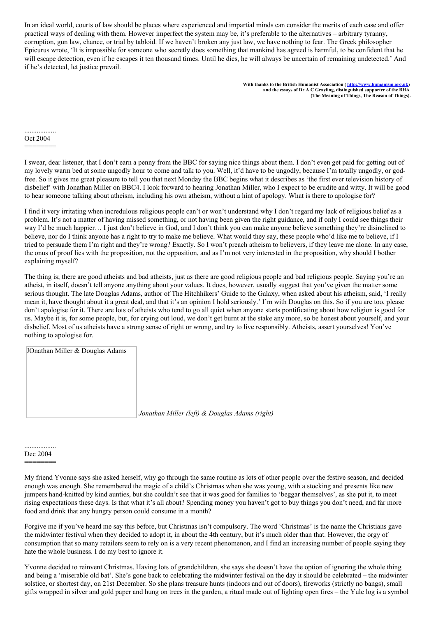In an ideal world, courts of law should be places where experienced and impartial minds can consider the merits of each case and offer practical ways of dealing with them. However imperfect the system may be, it's preferable to the alternatives – arbitrary tyranny, corruption, gun law, chance, or trial by tabloid. If we haven't broken any just law, we have nothing to fear. The Greek philosopher Epicurus wrote, 'It is impossible for someone who secretly does something that mankind has agreed is harmful, to be confident that he will escape detection, even if he escapes it ten thousand times. Until he dies, he will always be uncertain of remaining undetected.' And if he's detected, let justice prevail.

> **With thanks to the British Humanist Association ( [http://www.humanism.org.uk](http://www.humanism.org.uk/)) and the essays of Dr A C Grayling, distinguished supporter of the BHA (The Meaning of Things, The Reason of Things).**

.................. Oct 2004

========

I swear, dear listener, that I don't earn a penny from the BBC for saying nice things about them. I don't even get paid for getting out of my lovely warm bed at some ungodly hour to come and talk to you. Well, it'd have to be ungodly, because I'm totally ungodly, or godfree. So it gives me great pleasure to tell you that next Monday the BBC begins what it describes as 'the first ever television history of disbelief' with Jonathan Miller on BBC4. I look forward to hearing Jonathan Miller, who I expect to be erudite and witty. It will be good to hear someone talking about atheism, including his own atheism, without a hint of apology. What is there to apologise for?

I find it very irritating when incredulous religious people can't or won't understand why I don't regard my lack of religious belief as a problem. It's not a matter of having missed something, or not having been given the right guidance, and if only I could see things their way I'd be much happier… I just don't believe in God, and I don't think you can make anyone believe something they're disinclined to believe, nor do I think anyone has a right to try to make me believe. What would they say, these people who'd like me to believe, if I tried to persuade them I'm right and they're wrong? Exactly. So I won't preach atheism to believers, if they leave me alone. In any case, the onus of proof lies with the proposition, not the opposition, and as I'm not very interested in the proposition, why should I bother explaining myself?

The thing is; there are good atheists and bad atheists, just as there are good religious people and bad religious people. Saying you're an atheist, in itself, doesn't tell anyone anything about your values. It does, however, usually suggest that you've given the matter some serious thought. The late Douglas Adams, author of The Hitchhikers' Guide to the Galaxy, when asked about his atheism, said, 'I really mean it, have thought about it a great deal, and that it's an opinion I hold seriously.' I'm with Douglas on this. So if you are too, please don't apologise for it. There are lots of atheists who tend to go all quiet when anyone starts pontificating about how religion is good for us. Maybe it is, for some people, but, for crying out loud, we don't get burnt at the stake any more, so be honest about yourself, and your disbelief. Most of us atheists have a strong sense of right or wrong, and try to live responsibly. Atheists, assert yourselves! You've nothing to apologise for.

| JOnathan Miller & Douglas Adams |                                                |
|---------------------------------|------------------------------------------------|
|                                 |                                                |
|                                 |                                                |
|                                 |                                                |
|                                 |                                                |
|                                 | Jonathan Miller (left) & Douglas Adams (right) |

.................. Dec 2004

========

My friend Yvonne says she asked herself, why go through the same routine as lots of other people over the festive season, and decided enough was enough. She remembered the magic of a child's Christmas when she was young, with a stocking and presents like new jumpers hand-knitted by kind aunties, but she couldn't see that it was good for families to 'beggar themselves', as she put it, to meet rising expectations these days. Is that what it's all about? Spending money you haven't got to buy things you don't need, and far more food and drink that any hungry person could consume in a month?

Forgive me if you've heard me say this before, but Christmas isn't compulsory. The word 'Christmas' is the name the Christians gave the midwinter festival when they decided to adopt it, in about the 4th century, but it's much older than that. However, the orgy of consumption that so many retailers seem to rely on is a very recent phenomenon, and I find an increasing number of people saying they hate the whole business. I do my best to ignore it.

Yvonne decided to reinvent Christmas. Having lots of grandchildren, she says she doesn't have the option of ignoring the whole thing and being a 'miserable old bat'. She's gone back to celebrating the midwinter festival on the day it should be celebrated – the midwinter solstice, or shortest day, on 21st December. So she plans treasure hunts (indoors and out of doors), fireworks (strictly no bangs), small gifts wrapped in silver and gold paper and hung on trees in the garden, a ritual made out of lighting open fires – the Yule log is a symbol